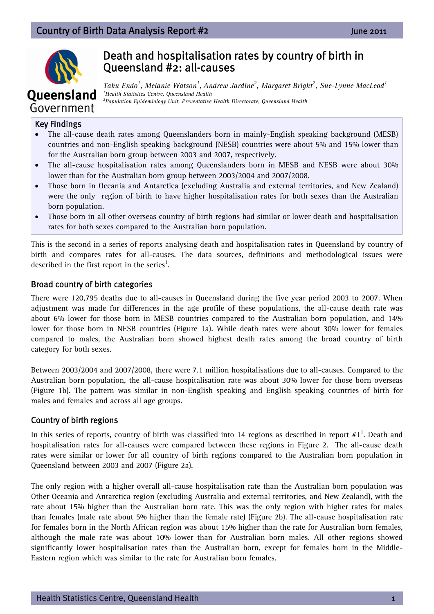# Country of Birth Data Analysis Report #**2**  June 2011



# Death and hospitalisation rates by country of birth in Queensland #2: all-causes

*Taku Endo<sup>1</sup> , Melanie Watson1 , Andrew Jardine2 , Margaret Bright2 , Sue-Lynne MacLeod<sup>1</sup> 1 Health Statistics Centre, Queensland Health 2 Population Epidemiology Unit, Preventative Health Directorate, Queensland Health* 

#### Key Findings

- The all-cause death rates among Queenslanders born in mainly-English speaking background (MESB) countries and non-English speaking background (NESB) countries were about 5% and 15% lower than for the Australian born group between 2003 and 2007, respectively.
- The all-cause hospitalisation rates among Queenslanders born in MESB and NESB were about 30% lower than for the Australian born group between 2003/2004 and 2007/2008.
- Those born in Oceania and Antarctica (excluding Australia and external territories, and New Zealand) were the only region of birth to have higher hospitalisation rates for both sexes than the Australian born population.
- Those born in all other overseas country of birth regions had similar or lower death and hospitalisation rates for both sexes compared to the Australian born population.

This is the second in a series of reports analysing death and hospitalisation rates in Queensland by country of birth and compares rates for all-causes. The data sources, definitions and methodological issues were described in the first report in the series<sup>1</sup>.

#### Broad country of birth categories

There were 120,795 deaths due to all-causes in Queensland during the five year period 2003 to 2007. When adjustment was made for differences in the age profile of these populations, the all-cause death rate was about 6% lower for those born in MESB countries compared to the Australian born population, and 14% lower for those born in NESB countries (Figure 1a). While death rates were about 30% lower for females compared to males, the Australian born showed highest death rates among the broad country of birth category for both sexes.

Between 2003/2004 and 2007/2008, there were 7.1 million hospitalisations due to all-causes. Compared to the Australian born population, the all-cause hospitalisation rate was about 30% lower for those born overseas (Figure 1b). The pattern was similar in non-English speaking and English speaking countries of birth for males and females and across all age groups.

#### Country of birth regions

In this series of reports, country of birth was classified into 14 regions as described in report  $#1^1$ . Death and hospitalisation rates for all-causes were compared between these regions in Figure 2. The all-cause death rates were similar or lower for all country of birth regions compared to the Australian born population in Queensland between 2003 and 2007 (Figure 2a).

The only region with a higher overall all-cause hospitalisation rate than the Australian born population was Other Oceania and Antarctica region (excluding Australia and external territories, and New Zealand), with the rate about 15% higher than the Australian born rate. This was the only region with higher rates for males than females (male rate about 5% higher than the female rate) (Figure 2b). The all-cause hospitalisation rate for females born in the North African region was about 15% higher than the rate for Australian born females, although the male rate was about 10% lower than for Australian born males. All other regions showed significantly lower hospitalisation rates than the Australian born, except for females born in the Middle-Eastern region which was similar to the rate for Australian born females.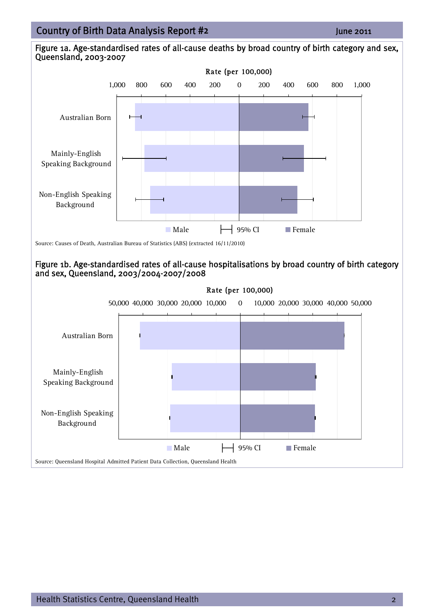# 15/06/2011 Country of Birth Data Analysis Report #**<sup>2</sup>** June 2011



Figure 1b. Age-standardised rates of all-cause hospitalisations by broad country of birth category and sex, Queensland, 2003/2004-2007/2008



#### Health Statistics Centre, Queensland Health 2